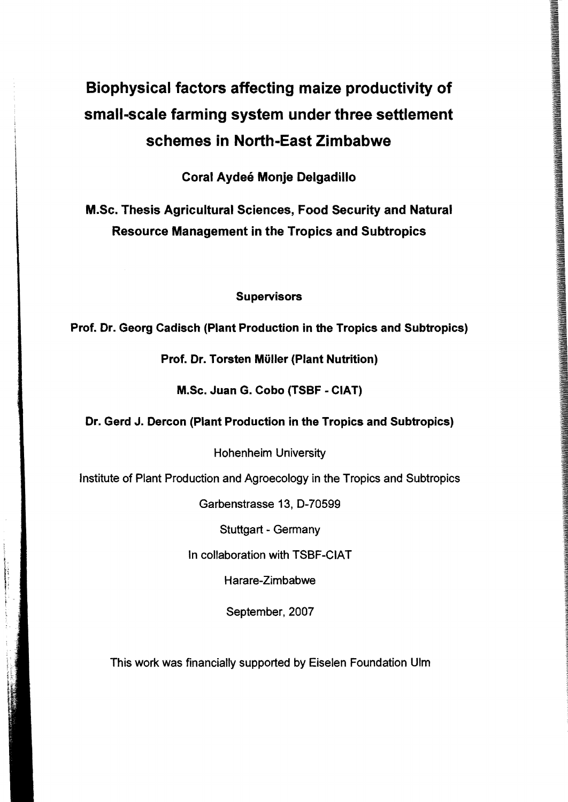# Biophysical factors affecting maize productivity of small-scale farming system under three settlement schemes in North-East Zimbabwe

Coral Aydee Monje Delgadillo

M.Sc. Thesis Agricultural Sciences, Food Security and Natural Resource Management in the Tropics and Subtropics

## Supervisors

Prof. Dr. Georg Cadisch (Plant Production in the Tropics and Subtropics)

## Prof. Dr. Torsten Müller (Plant Nutrition)

M.Sc. Juan G. Cobo (TSBF - CIAT)

## Dr. Gerd J. Dercon (Plant Production in the Tropics and Subtropics)

Hohenheim University

Institute of Plant Production and Agroecology in the Tropics and Subtropics

Garbenstrasse 13, D-70599

Stuttgart - Germany

In collaboration with TSBF-CIAT

Harare-Zimbabwe

September, 2007

This work was financially supported by Eiselen Foundation Ulm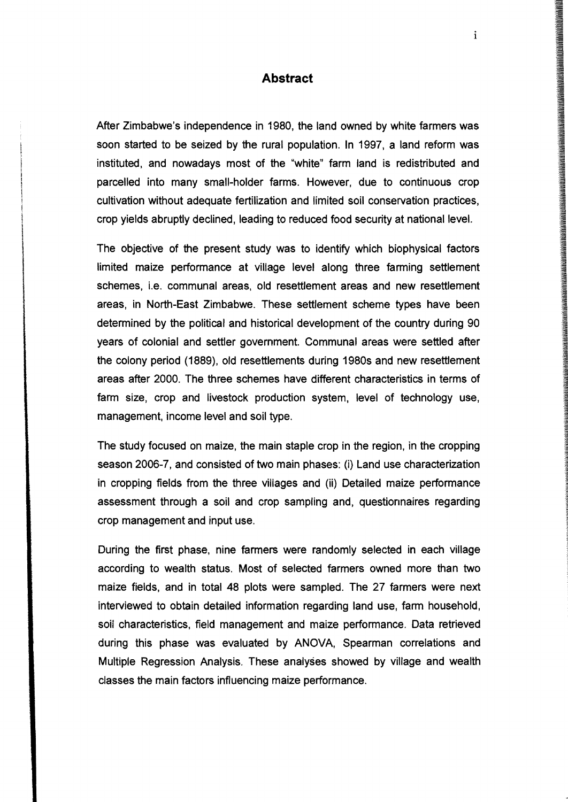### **Abstract**

After Zimbabwe's independence in 1980, the land owned by white farmers was soon started to be seized by the rural population. In 1997, a land reform was instituted, and nowadays most of the "white" farm land is redistributed and parcelled into many small-holder farms. However, due to continuous crop cultivation without adequate fertilization and limited soil conservation practices, crop yields abruptly declined, leading to reduced food security at national level.

The objective of the present study was to identify which biophysical factors limited maize performance at village level along three farming settlement schemes, i.e. communal areas, old resettlement areas and new resettlement areas, in North-East Zimbabwe. These settlement scheme types have been determined by the political and historical development of the country during 90 years of colonial and settler government. Communal areas were settled after the colony period (1889), old resettlements during 1980s and new resettlement areas after 2000. The three schemes have different characteristics in terms of farm size, crop and livestock production system. level of technology use, management. income level and soil type.

The study focused on maize. the main staple crop in the region. in the cropping season 2006-7. and consisted of two main phases: (i) Land use characterization in cropping fields from the three villages and (ii) Detailed maize performance assessment through a soil and crop sampling and. questionnaires regarding crop management and input use.

During the first phase, nine farmers were randomly selected in each village according to wealth status. Most of selected farmers owned more than two maize fields, and in total 48 plots were sampled. The 27 farmers were next interviewed to obtain detailed information regarding land use, farm household. soil characteristics. field management and maize performance. Data retrieved during this phase was evaluated by ANOVA, Spearman correlations and Multiple Regression Analysis. These analyses showed by village and wealth classes the main factors influencing maize performance.